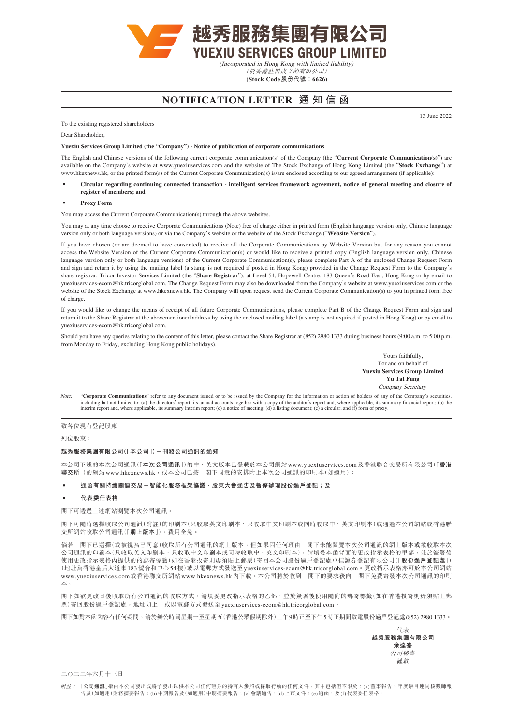

(於香港註冊成立的有限公司) **(Stock Code股份代號:6626)**

## **NOTIFICATION LETTER 通知信函**

To the existing registered shareholders

Dear Shareholder,

**Yuexiu Services Group Limited (the "Company") - Notice of publication of corporate communications**

The English and Chinese versions of the following current corporate communication(s) of the Company (the "**Current Corporate Communication(s)**") are available on the Company's website at [www.yuexiuservices.com](http://www.yuexiuservices.com) and the website of The Stock Exchange of Hong Kong Limited (the "**Stock Exchange**") at [www.hkexnews.hk,](http://www.hkexnews.hk) or the printed form(s) of the Current Corporate Communication(s) is/are enclosed according to our agreed arrangement (if applicable):

- **‧ Circular regarding continuing connected transaction intelligent services framework agreement, notice of general meeting and closure of register of members; and**
- **‧ Proxy Form**

You may access the Current Corporate Communication(s) through the above websites.

You may at any time choose to receive Corporate Communications (Note) free of charge either in printed form (English language version only, Chinese language version only or both language versions) or via the Company's website or the website of the Stock Exchange ("**Website Version**").

If you have chosen (or are deemed to have consented) to receive all the Corporate Communications by Website Version but for any reason you cannot access the Website Version of the Current Corporate Communication(s) or would like to receive a printed copy (English language version only, Chinese language version only or both language versions) of the Current Corporate Communication(s), please complete Part A of the enclosed Change Request Form and sign and return it by using the mailing label (a stamp is not required if posted in Hong Kong) provided in the Change Request Form to the Company's share registrar, Tricor Investor Services Limited (the "**Share Registrar**"), at Level 54, Hopewell Centre, 183 Queen's Road East, Hong Kong or by email to [yuexiuservices-ecom@hk.tricorglobal.com.](mailto:yuexiuservices-ecom%40hk.tricorglobal.com?subject=) The Change Request Form may also be downloaded from the Company's website at [www.yuexiuservices.com](http://www.yuexiuservices.com) or the website of the Stock Exchange at [www.hkexnews.hk](http://www.hkexnews.hk). The Company will upon request send the Current Corporate Communication(s) to you in printed form free of charge.

If you would like to change the means of receipt of all future Corporate Communications, please complete Part B of the Change Request Form and sign and return it to the Share Registrar at the abovementioned address by using the enclosed mailing label (a stamp is not required if posted in Hong Kong) or by email to [yuexiuservices-ecom@hk.tricorglobal.com.](mailto:yuexiuservices-ecom%40hk.tricorglobal.com?subject=)

Should you have any queries relating to the content of this letter, please contact the Share Registrar at (852) 2980 1333 during business hours (9:00 a.m. to 5:00 p.m. from Monday to Friday, excluding Hong Kong public holidays).

> Yours faithfully, For and on behalf of **Yuexiu Services Group Limited Yu Tat Fung** Company Secretary

Note: "Corporate Communications" refer to any document issued or to be issued by the Company for the information or action of holders of any of the Company's securities, including but not limited to: (a) the directors' rep

致各位現有登記股東

列位股東:

#### **越秀服務集團有限公司(「本公司」)-刊發公司通訊的通知**

本公司下述的本次公司通訊(「**本次公司通訊**」)的中、英文版本已登載於本公司網站[www.yuexiuservices.com](http://www.yuexiuservices.com)及香港聯合交易所有限公司(「**香港 聯交所**」)的網站[www.hkexnews.hk](http://www.hkexnews.hk),或本公司已按 閣下同意的安排附上本次公司通訊的印刷本(如適用):

### **‧ 通函有關持續關連交易-智能化服務框架協議、股東大會通告及暫停辦理股份過戶登記;及**

#### **‧ 代表委任表格**

閣下可透過上述網站瀏覽本次公司通訊。

閣下可隨時選擇收取公司通訊(附註)的印刷本(只收取英文印刷本、只收取中文印刷本或同時收取中、英文印刷本)或通過本公司網站或香港聯 交所網站收取公司通訊(「**網上版本**」),費用全免。

倘若 閣下已選擇(或被視為已同意)收取所有公司通訊的網上版本,但如果因任何理由 閣下未能閱覽本次公司通訊的網上版本或欲收取本次 公司通訊的印刷本(只收取英文印刷本、只收取中文印刷技取中、英文印刷本),請填妥本函背面的更改指示表格的甲部,並於簽署後 使用更改指示表格內提供的的郵寄標籤(如在香港投寄則毋須貼上郵票)寄回本公司股份過戶登記處卓佳證券登記有限公司(「**股份過戶登記處**」) (地址為香港皇后大道東183號合和中心54樓)或以電郵方式發送至[yuexiuservices-ecom@hk.tricorglobal.com](mailto:yuexiuservices-ecom%40hk.tricorglobal.com?subject=)。更改指示表格亦可於本公司網站 [www.yuexiuservices.com](http://www.yuexiuservices.com)或香港聯交所網站 [www.hkexnews.hk](http://www.hkexnews.hk) 内下載。本公司將於收到 閣下的要求後向 閣下免費寄發本次公司通訊的印刷 本。

閣下如欲更改日後收取所有公司通訊的收取方式,請填妥更改指示表格的乙部,並於簽署後使用隨附的郵寄標籤(如在香港投寄則毋須貼上郵 票)寄回股份過戶登記處,地址如上,或以電郵方式發送至[yuexiuservices-ecom@hk.tricorglobal.com](mailto:yuexiuservices-ecom%40hk.tricorglobal.com?subject=)。

閣下如對本函內容有任何疑問,請於辦公時間星期一至星期五(香港公眾假期除外)上午9時正至下午5時正期間致電股份過戶登記處(852) 2980 1333。

代表 **越秀服務集團有限公司 余達峯** 公司秘書 謹啟

二○二二年六月十三日

13 June 2022